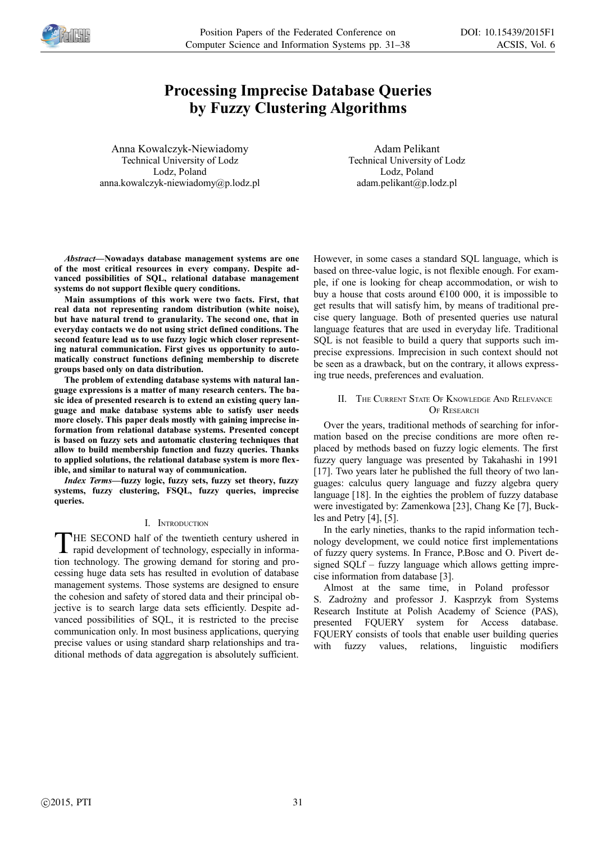

# **Processing Imprecise Database Queries by Fuzzy Clustering Algorithms**

Anna Kowalczyk-Niewiadomy Technical University of Lodz Lodz, Poland anna.kowalczyk-niewiadomy@p.lodz.pl

Adam Pelikant Technical University of Lodz Lodz, Poland adam.pelikant@p.lodz.pl

*Abstract—***Nowadays database management systems are one of the most critical resources in every company. Despite advanced possibilities of SQL, relational database management systems do not support flexible query conditions.**

**Main assumptions of this work were two facts. First, that real data not representing random distribution (white noise), but have natural trend to granularity. The second one, that in everyday contacts we do not using strict defined conditions. The second feature lead us to use fuzzy logic which closer representing natural communication. First gives us opportunity to automatically construct functions defining membership to discrete groups based only on data distribution.** 

**The problem of extending database systems with natural language expressions is a matter of many research centers. The basic idea of presented research is to extend an existing query language and make database systems able to satisfy user needs more closely. This paper deals mostly with gaining imprecise information from relational database systems. Presented concept is based on fuzzy sets and automatic clustering techniques that allow to build membership function and fuzzy queries. Thanks to applied solutions, the relational database system is more flexible, and similar to natural way of communication.**

*Index Terms—***fuzzy logic, fuzzy sets, fuzzy set theory, fuzzy systems, fuzzy clustering, FSQL, fuzzy queries, imprecise queries.**

## I. INTRODUCTION

HE SECOND half of the twentieth century ushered in rapid development of technology, especially in informa-THE SECOND half of the twentieth century ushered in rapid development of technology, especially in information technology. The growing demand for storing and processing huge data sets has resulted in evolution of database management systems. Those systems are designed to ensure the cohesion and safety of stored data and their principal objective is to search large data sets efficiently. Despite advanced possibilities of SQL, it is restricted to the precise communication only. In most business applications, querying precise values or using standard sharp relationships and traditional methods of data aggregation is absolutely sufficient.

However, in some cases a standard SQL language, which is based on three-value logic, is not flexible enough. For example, if one is looking for cheap accommodation, or wish to buy a house that costs around  $\epsilon$ 100 000, it is impossible to get results that will satisfy him, by means of traditional precise query language. Both of presented queries use natural language features that are used in everyday life. Traditional SQL is not feasible to build a query that supports such imprecise expressions. Imprecision in such context should not be seen as a drawback, but on the contrary, it allows expressing true needs, preferences and evaluation.

# II. THE CURRENT STATE OF KNOWLEDGE AND RELEVANCE OF RESEARCH

Over the years, traditional methods of searching for information based on the precise conditions are more often replaced by methods based on fuzzy logic elements. The first fuzzy query language was presented by Takahashi in 1991 [17]. Two years later he published the full theory of two languages: calculus query language and fuzzy algebra query language [18]. In the eighties the problem of fuzzy database were investigated by: Zamenkowa [23], Chang Ke [7], Buckles and Petry [4], [5].

In the early nineties, thanks to the rapid information technology development, we could notice first implementations of fuzzy query systems. In France, P.Bosc and O. Pivert designed SQLf – fuzzy language which allows getting imprecise information from database [3].

Almost at the same time, in Poland professor S. Zadrożny and professor J. Kasprzyk from Systems Research Institute at Polish Academy of Science (PAS), presented FQUERY system for Access database. FQUERY consists of tools that enable user building queries with fuzzy values, relations, linguistic modifiers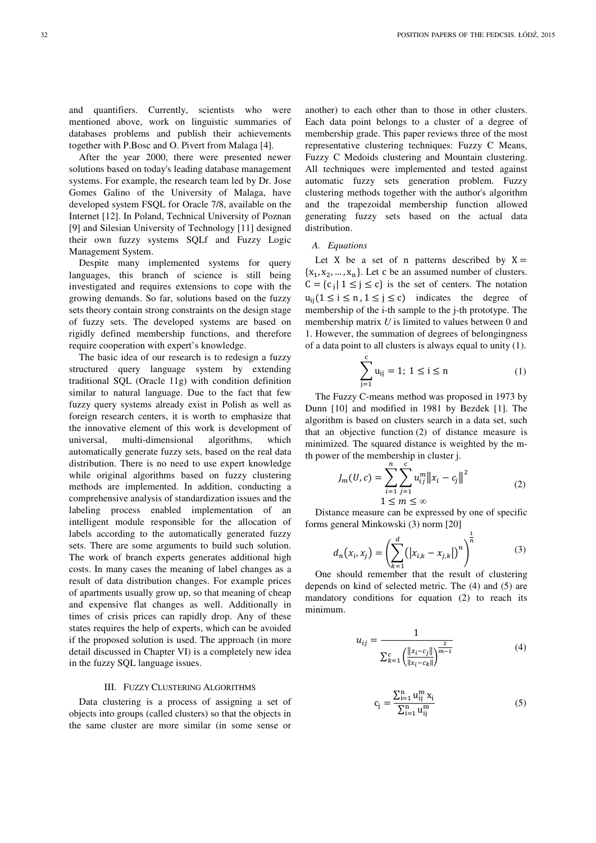and quantifiers. Currently, scientists who were mentioned above, work on linguistic summaries of databases problems and publish their achievements together with P.Bosc and O. Pivert from Malaga [4].

After the year 2000, there were presented newer solutions based on today's leading database management systems. For example, the research team led by Dr. Jose Gomes Galino of the University of Malaga, have developed system FSQL for Oracle 7/8, available on the Internet [12]. In Poland, Technical University of Poznan [9] and Silesian University of Technology [11] designed their own fuzzy systems SQLf and Fuzzy Logic Management System.

Despite many implemented systems for query languages, this branch of science is still being investigated and requires extensions to cope with the growing demands. So far, solutions based on the fuzzy sets theory contain strong constraints on the design stage of fuzzy sets. The developed systems are based on rigidly defined membership functions, and therefore require cooperation with expert's knowledge.

The basic idea of our research is to redesign a fuzzy structured query language system by extending traditional SQL (Oracle 11g) with condition definition similar to natural language. Due to the fact that few fuzzy query systems already exist in Polish as well as foreign research centers, it is worth to emphasize that the innovative element of this work is development of universal, multi-dimensional algorithms, which automatically generate fuzzy sets, based on the real data distribution. There is no need to use expert knowledge while original algorithms based on fuzzy clustering methods are implemented. In addition, conducting a comprehensive analysis of standardization issues and the labeling process enabled implementation of an intelligent module responsible for the allocation of labels according to the automatically generated fuzzy sets. There are some arguments to build such solution. The work of branch experts generates additional high costs. In many cases the meaning of label changes as a result of data distribution changes. For example prices of apartments usually grow up, so that meaning of cheap and expensive flat changes as well. Additionally in times of crisis prices can rapidly drop. Any of these states requires the help of experts, which can be avoided if the proposed solution is used. The approach (in more detail discussed in Chapter VI) is a completely new idea in the fuzzy SQL language issues.

#### III. FUZZY CLUSTERING ALGORITHMS

Data clustering is a process of assigning a set of objects into groups (called clusters) so that the objects in the same cluster are more similar (in some sense or

another) to each other than to those in other clusters. Each data point belongs to a cluster of a degree of membership grade. This paper reviews three of the most representative clustering techniques: Fuzzy C Means, Fuzzy C Medoids clustering and Mountain clustering. All techniques were implemented and tested against automatic fuzzy sets generation problem. Fuzzy clustering methods together with the author's algorithm and the trapezoidal membership function allowed generating fuzzy sets based on the actual data distribution.

## *A. Equations*

Let X be a set of n patterns described by  $X =$  $\{x_1, x_2, ..., x_n\}$ . Let c be an assumed number of clusters.  $C = \{c_j | 1 \le j \le c\}$  is the set of centers. The notation  $u_{ij}$ (1 ≤ i ≤ n, 1 ≤ j ≤ c) indicates the degree of membership of the i-th sample to the j-th prototype. The membership matrix *U* is limited to values between 0 and 1. However, the summation of degrees of belongingness of a data point to all clusters is always equal to unity (1).

$$
\sum_{j=1}^{c} u_{ij} = 1; \ 1 \le i \le n \tag{1}
$$

The Fuzzy C-means method was proposed in 1973 by Dunn [10] and modified in 1981 by Bezdek [1]. The algorithm is based on clusters search in a data set, such that an objective function (2) of distance measure is minimized. The squared distance is weighted by the mth power of the membership in cluster j.

$$
J_m(U, c) = \sum_{i=1}^{n} \sum_{j=1}^{c} u_{ij}^{m} ||x_i - c_j||^2
$$
  
1 \le m \le \infty (2)

Distance measure can be expressed by one of specific forms general Minkowski (3) norm [20]

$$
d_n(x_i, x_j) = \left(\sum_{k=1}^d (|x_{i,k} - x_{j,k}|)^n\right)^{\frac{1}{n}}
$$
(3)

One should remember that the result of clustering depends on kind of selected metric. The (4) and (5) are mandatory conditions for equation (2) to reach its minimum.

$$
u_{ij} = \frac{1}{\sum_{k=1}^{c} \left( \frac{\|x_i - c_j\|}{\|x_i - c_k\|} \right)^{\frac{2}{m-1}}}
$$
(4)

$$
c_{j} = \frac{\sum_{i=1}^{n} u_{ij}^{m} x_{i}}{\sum_{i=1}^{n} u_{ij}^{m}}
$$
 (5)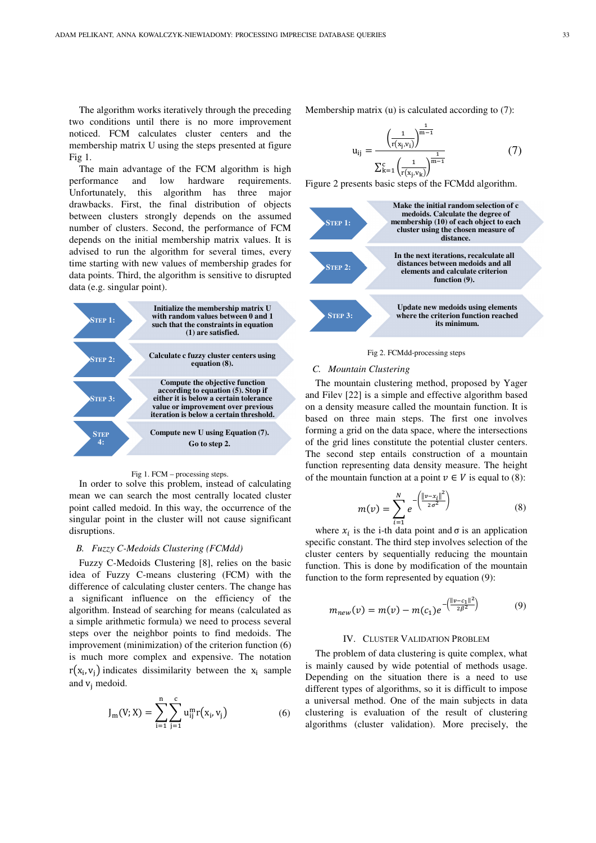The algorithm works iteratively through the preceding two conditions until there is no more improvement noticed. FCM calculates cluster centers and the membership matrix U using the steps presented at figure Fig 1.

The main advantage of the FCM algorithm is high performance and low hardware requirements. Unfortunately, this algorithm has three major drawbacks. First, the final distribution of objects between clusters strongly depends on the assumed number of clusters. Second, the performance of FCM depends on the initial membership matrix values. It is advised to run the algorithm for several times, every time starting with new values of membership grades for data points. Third, the algorithm is sensitive to disrupted data (e.g. singular point).



#### Fig 1. FCM – processing steps.

In order to solve this problem, instead of calculating mean we can search the most centrally located cluster point called medoid. In this way, the occurrence of the singular point in the cluster will not cause significant disruptions.

## *B. Fuzzy C-Medoids Clustering (FCMdd)*

Fuzzy C-Medoids Clustering [8], relies on the basic idea of Fuzzy C-means clustering (FCM) with the difference of calculating cluster centers. The change has a significant influence on the efficiency of the algorithm. Instead of searching for means (calculated as a simple arithmetic formula) we need to process several steps over the neighbor points to find medoids. The improvement (minimization) of the criterion function (6) is much more complex and expensive. The notation  $r(x_i, v_j)$  indicates dissimilarity between the  $x_i$  sample and  $v_j$  medoid.

$$
J_{m}(V;X) = \sum_{i=1}^{n} \sum_{j=1}^{c} u_{ij}^{m} r(x_{i}, v_{j})
$$
 (6)

Membership matrix (u) is calculated according to (7):

$$
u_{ij} = \frac{\left(\frac{1}{r(x_j, v_i)}\right)^{\frac{1}{m-1}}}{\sum_{k=1}^{c} \left(\frac{1}{r(x_j, v_k)}\right)^{\frac{1}{m-1}}}
$$
(7)

Figure 2 presents basic steps of the FCMdd algorithm.



Fig 2. FCMdd-processing steps

#### *C. Mountain Clustering*

The mountain clustering method, proposed by Yager and Filev [22] is a simple and effective algorithm based on a density measure called the mountain function. It is based on three main steps. The first one involves forming a grid on the data space, where the intersections of the grid lines constitute the potential cluster centers. The second step entails construction of a mountain function representing data density measure. The height of the mountain function at a point  $v \in V$  is equal to (8):

$$
m(v) = \sum_{i=1}^{N} e^{-\left(\frac{\|v - x_i\|^2}{2\sigma^2}\right)}
$$
(8)

where  $x_i$  is the i-th data point and  $\sigma$  is an application specific constant. The third step involves selection of the cluster centers by sequentially reducing the mountain function. This is done by modification of the mountain function to the form represented by equation (9):

$$
m_{new}(v) = m(v) - m(c_1)e^{-\left(\frac{||v - c_1||^2}{2\beta^2}\right)}
$$
(9)

### IV. CLUSTER VALIDATION PROBLEM

The problem of data clustering is quite complex, what is mainly caused by wide potential of methods usage. Depending on the situation there is a need to use different types of algorithms, so it is difficult to impose a universal method. One of the main subjects in data clustering is evaluation of the result of clustering algorithms (cluster validation). More precisely, the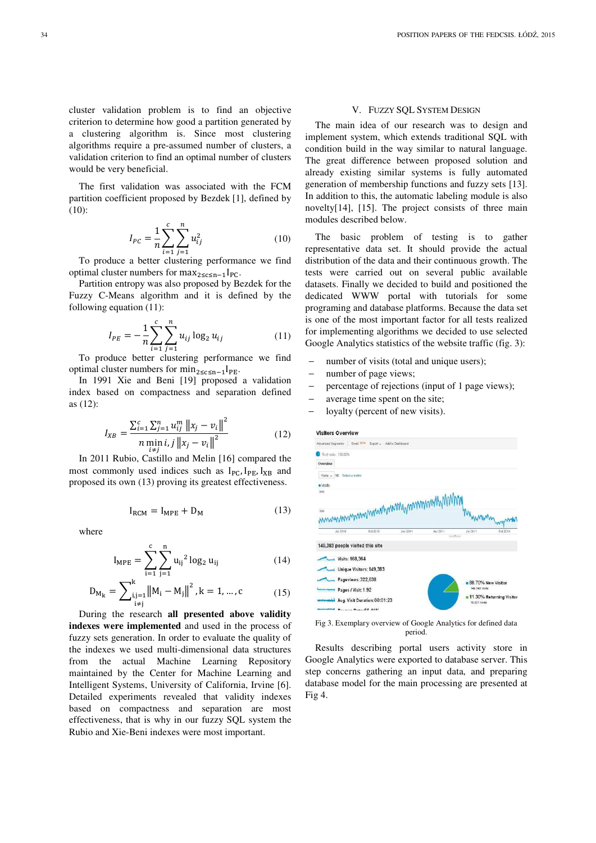cluster validation problem is to find an objective criterion to determine how good a partition generated by a clustering algorithm is. Since most clustering algorithms require a pre-assumed number of clusters, a validation criterion to find an optimal number of clusters would be very beneficial.

The first validation was associated with the FCM partition coefficient proposed by Bezdek [1], defined by (10):

$$
I_{PC} = \frac{1}{n} \sum_{i=1}^{c} \sum_{j=1}^{n} u_{ij}^2
$$
 (10)

To produce a better clustering performance we find optimal cluster numbers for  $\max_{2 \leq c \leq n-1} I_{PC}$ .

Partition entropy was also proposed by Bezdek for the Fuzzy C-Means algorithm and it is defined by the following equation (11):

$$
I_{PE} = -\frac{1}{n} \sum_{i=1}^{c} \sum_{j=1}^{n} u_{ij} \log_2 u_{ij}
$$
 (11)

 $t=1$   $j=1$ <br>To produce better clustering performance we find optimal cluster numbers for  $\min_{2 \leq c \leq n-1} I_{PE}$ .

In 1991 Xie and Beni [19] proposed a validation index based on compactness and separation defined as (12):

$$
I_{XB} = \frac{\sum_{i=1}^{c} \sum_{j=1}^{n} u_{ij}^{m} ||x_j - v_i||^2}{n \min_{i \neq i} i, j ||x_j - v_i||^2}
$$
(12)

In 2011 Rubio, Castillo and Melin [16] compared the most commonly used indices such as  $I_{PC}$ ,  $I_{PE}$ ,  $I_{XB}$  and proposed its own (13) proving its greatest effectiveness.

$$
I_{RCM} = I_{MPE} + D_M \tag{13}
$$

where

$$
I_{MPE} = \sum_{i=1}^{c} \sum_{j=1}^{n} u_{ij}^{2} \log_2 u_{ij}
$$
 (14)

$$
D_{M_k} = \sum_{\substack{i,j=1 \ i \neq j}}^{k} ||M_i - M_j||^2, k = 1, ..., c
$$
 (15)

During the research **all presented above validity indexes were implemented** and used in the process of fuzzy sets generation. In order to evaluate the quality of the indexes we used multi-dimensional data structures from the actual Machine Learning Repository maintained by the Center for Machine Learning and Intelligent Systems, University of California, Irvine [6]. Detailed experiments revealed that validity indexes based on compactness and separation are most effectiveness, that is why in our fuzzy SQL system the Rubio and Xie-Beni indexes were most important.

#### V. FUZZY SQL SYSTEM DESIGN

The main idea of our research was to design and implement system, which extends traditional SQL with condition build in the way similar to natural language. The great difference between proposed solution and already existing similar systems is fully automated generation of membership functions and fuzzy sets [13]. In addition to this, the automatic labeling module is also novelty[14], [15]. The project consists of three main modules described below.

The basic problem of testing is to gather representative data set. It should provide the actual distribution of the data and their continuous growth. The tests were carried out on several public available datasets. Finally we decided to build and positioned the dedicated WWW portal with tutorials for some programing and database platforms. Because the data set is one of the most important factor for all tests realized for implementing algorithms we decided to use selected Google Analytics statistics of the website traffic (fig. 3):

- number of visits (total and unique users);
- number of page views;
- percentage of rejections (input of 1 page views);
- average time spent on the site;
- loyalty (percent of new visits).



Fig 3. Exemplary overview of Google Analytics for defined data period.

Results describing portal users activity store in Google Analytics were exported to database server. This step concerns gathering an input data, and preparing database model for the main processing are presented at Fig 4.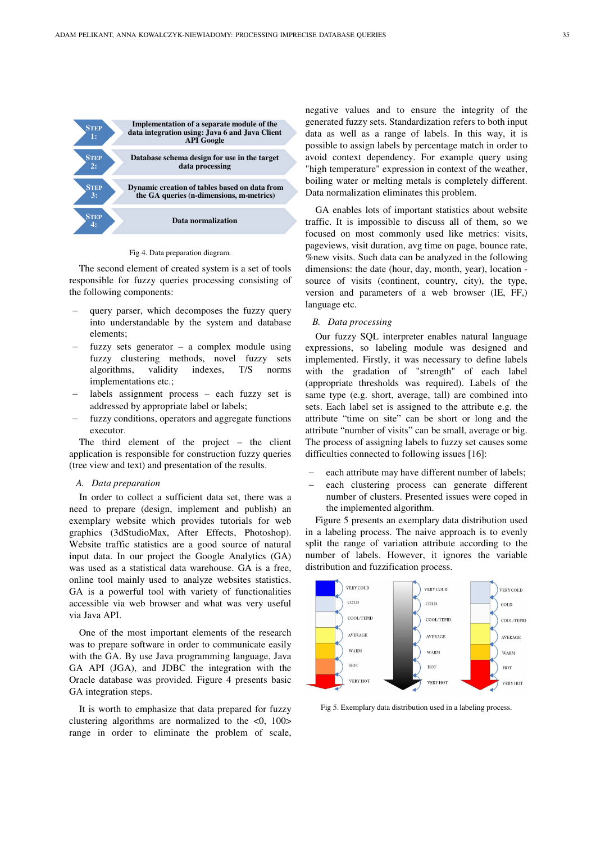

Fig 4. Data preparation diagram.

The second element of created system is a set of tools responsible for fuzzy queries processing consisting of the following components:

- query parser, which decomposes the fuzzy query into understandable by the system and database elements;
- fuzzy sets generator a complex module using fuzzy clustering methods, novel fuzzy sets algorithms, validity indexes, T/S norms implementations etc.;
- labels assignment process each fuzzy set is addressed by appropriate label or labels;
- fuzzy conditions, operators and aggregate functions executor.

The third element of the project – the client application is responsible for construction fuzzy queries (tree view and text) and presentation of the results.

#### *A. Data preparation*

In order to collect a sufficient data set, there was a need to prepare (design, implement and publish) an exemplary website which provides tutorials for web graphics (3dStudioMax, After Effects, Photoshop). Website traffic statistics are a good source of natural input data. In our project the Google Analytics (GA) was used as a statistical data warehouse. GA is a free, online tool mainly used to analyze websites statistics. GA is a powerful tool with variety of functionalities accessible via web browser and what was very useful via Java API.

One of the most important elements of the research was to prepare software in order to communicate easily with the GA. By use Java programming language, Java GA API (JGA), and JDBC the integration with the Oracle database was provided. Figure 4 presents basic GA integration steps.

It is worth to emphasize that data prepared for fuzzy clustering algorithms are normalized to the  $\langle 0, 100 \rangle$ range in order to eliminate the problem of scale,

negative values and to ensure the integrity of the generated fuzzy sets. Standardization refers to both input data as well as a range of labels. In this way, it is possible to assign labels by percentage match in order to avoid context dependency. For example query using "high temperature" expression in context of the weather, boiling water or melting metals is completely different. Data normalization eliminates this problem.

GA enables lots of important statistics about website traffic. It is impossible to discuss all of them, so we focused on most commonly used like metrics: visits, pageviews, visit duration, avg time on page, bounce rate, %new visits. Such data can be analyzed in the following dimensions: the date (hour, day, month, year), location source of visits (continent, country, city), the type, version and parameters of a web browser (IE, FF,) language etc.

## *B. Data processing*

Our fuzzy SQL interpreter enables natural language expressions, so labeling module was designed and implemented. Firstly, it was necessary to define labels with the gradation of "strength" of each label (appropriate thresholds was required). Labels of the same type (e.g. short, average, tall) are combined into sets. Each label set is assigned to the attribute e.g. the attribute "time on site" can be short or long and the attribute "number of visits" can be small, average or big. The process of assigning labels to fuzzy set causes some difficulties connected to following issues [16]:

- each attribute may have different number of labels;
- each clustering process can generate different number of clusters. Presented issues were coped in the implemented algorithm.

Figure 5 presents an exemplary data distribution used in a labeling process. The naive approach is to evenly split the range of variation attribute according to the number of labels. However, it ignores the variable distribution and fuzzification process.



Fig 5. Exemplary data distribution used in a labeling process.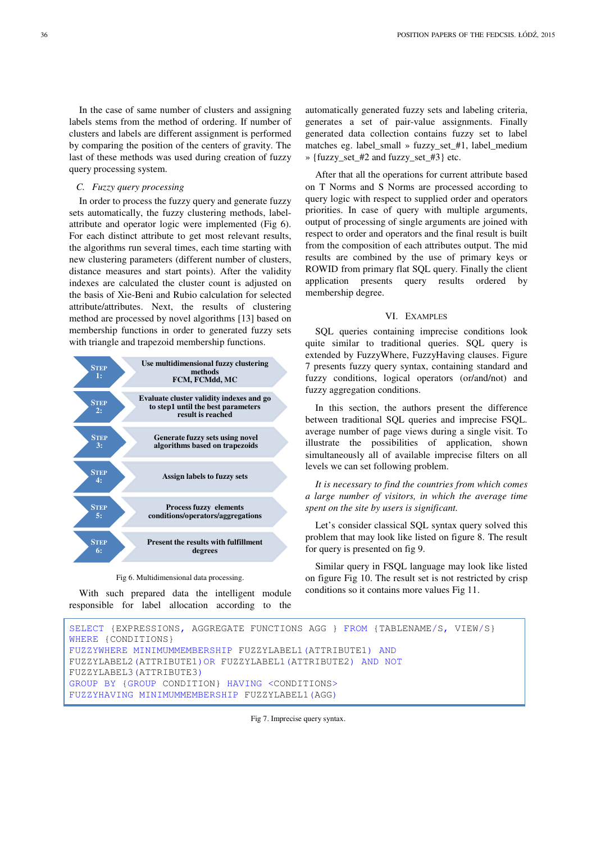In the case of same number of clusters and assigning labels stems from the method of ordering. If number of clusters and labels are different assignment is performed by comparing the position of the centers of gravity. The last of these methods was used during creation of fuzzy query processing system.

### *C. Fuzzy query processing*

In order to process the fuzzy query and generate fuzzy sets automatically, the fuzzy clustering methods, labelattribute and operator logic were implemented (Fig 6). For each distinct attribute to get most relevant results, the algorithms run several times, each time starting with new clustering parameters (different number of clusters, distance measures and start points). After the validity indexes are calculated the cluster count is adjusted on the basis of Xie-Beni and Rubio calculation for selected attribute/attributes. Next, the results of clustering method are processed by novel algorithms [13] based on membership functions in order to generated fuzzy sets with triangle and trapezoid membership functions.



Fig 6. Multidimensional data processing.

With such prepared data the intelligent module responsible for label allocation according to the automatically generated fuzzy sets and labeling criteria, generates a set of pair-value assignments. Finally generated data collection contains fuzzy set to label matches eg. label\_small » fuzzy\_set\_#1, label\_medium » {fuzzy\_set\_#2 and fuzzy\_set\_#3} etc.

After that all the operations for current attribute based on T Norms and S Norms are processed according to query logic with respect to supplied order and operators priorities. In case of query with multiple arguments, output of processing of single arguments are joined with respect to order and operators and the final result is built from the composition of each attributes output. The mid results are combined by the use of primary keys or ROWID from primary flat SQL query. Finally the client application presents query results ordered by membership degree.

## VI. EXAMPLES

SQL queries containing imprecise conditions look quite similar to traditional queries. SQL query is extended by FuzzyWhere, FuzzyHaving clauses. Figure 7 presents fuzzy query syntax, containing standard and fuzzy conditions, logical operators (or/and/not) and fuzzy aggregation conditions.

In this section, the authors present the difference between traditional SQL queries and imprecise FSQL. average number of page views during a single visit. To illustrate the possibilities of application, shown simultaneously all of available imprecise filters on all levels we can set following problem.

*It is necessary to find the countries from which comes a large number of visitors, in which the average time spent on the site by users is significant.* 

Let's consider classical SQL syntax query solved this problem that may look like listed on figure 8. The result for query is presented on fig 9.

Similar query in FSQL language may look like listed on figure Fig 10. The result set is not restricted by crisp conditions so it contains more values Fig 11.

```
SELECT {EXPRESSIONS, AGGREGATE FUNCTIONS AGG } FROM {TABLENAME/S, VIEW/S} 
WHERE {CONDITIONS}
FUZZYWHERE MINIMUMMEMBERSHIP FUZZYLABEL1(ATTRIBUTE1) AND
FUZZYLABEL2(ATTRIBUTE1)OR FUZZYLABEL1(ATTRIBUTE2) AND NOT
FUZZYLABEL3(ATTRIBUTE3)
GROUP BY {GROUP CONDITION} HAVING <CONDITIONS> 
FUZZYHAVING MINIMUMMEMBERSHIP FUZZYLABEL1(AGG)
```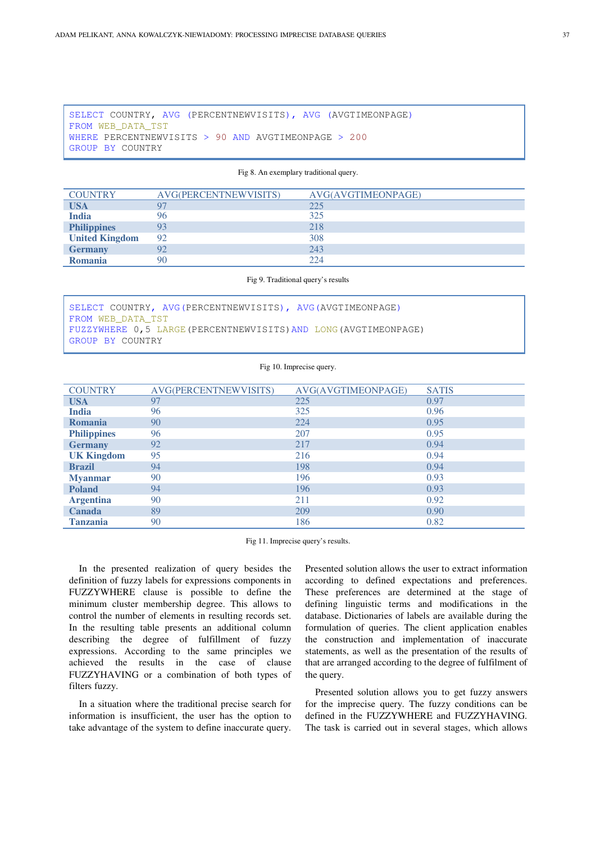SELECT COUNTRY, AVG (PERCENTNEWVISITS), AVG (AVGTIMEONPAGE) FROM WEB\_DATA\_TST WHERE PERCENTNEWVISITS > 90 AND AVGTIMEONPAGE > 200 GROUP BY COUNTRY

Fig 8. An exemplary traditional query.

| <b>COUNTRY</b>        | AVG(PERCENTNEWVISITS) | AVG(AVGTIMEONPAGE) |
|-----------------------|-----------------------|--------------------|
| <b>USA</b>            |                       | 225                |
| <b>India</b>          | 96                    | 325                |
| <b>Philippines</b>    |                       | 218                |
| <b>United Kingdom</b> | 92                    | 308                |
| <b>Germany</b>        | 92                    | 243                |
| Romania               | 90                    | 224                |

### Fig 9. Traditional query's results

|                   | SELECT COUNTRY, AVG (PERCENTNEWVISITS), AVG (AVGTIMEONPAGE)      |  |  |  |  |
|-------------------|------------------------------------------------------------------|--|--|--|--|
| FROM WEB DATA TST |                                                                  |  |  |  |  |
|                   | FUZZYWHERE 0,5 LARGE (PERCENTNEWVISITS) AND LONG (AVGTIMEONPAGE) |  |  |  |  |
| GROUP BY COUNTRY  |                                                                  |  |  |  |  |

### Fig 10. Imprecise query.

| <b>COUNTRY</b>     | AVG(PERCENTNEWVISITS) | AVG(AVGTIMEONPAGE) | <b>SATIS</b> |
|--------------------|-----------------------|--------------------|--------------|
| <b>USA</b>         | 97                    | 225                | 0.97         |
| <b>India</b>       | 96                    | 325                | 0.96         |
| <b>Romania</b>     | 90                    | 224                | 0.95         |
| <b>Philippines</b> | 96                    | 207                | 0.95         |
| <b>Germany</b>     | 92                    | 217                | 0.94         |
| <b>UK Kingdom</b>  | 95                    | 216                | 0.94         |
| <b>Brazil</b>      | 94                    | 198                | 0.94         |
| <b>Myanmar</b>     | 90                    | 196                | 0.93         |
| <b>Poland</b>      | 94                    | 196                | 0.93         |
| <b>Argentina</b>   | 90                    | 211                | 0.92         |
| <b>Canada</b>      | 89                    | 209                | 0.90         |
| <b>Tanzania</b>    | 90                    | 186                | 0.82         |

Fig 11. Imprecise query's results.

In the presented realization of query besides the definition of fuzzy labels for expressions components in FUZZYWHERE clause is possible to define the minimum cluster membership degree. This allows to control the number of elements in resulting records set. In the resulting table presents an additional column describing the degree of fulfillment of fuzzy expressions. According to the same principles we achieved the results in the case of clause FUZZYHAVING or a combination of both types of filters fuzzy.

In a situation where the traditional precise search for information is insufficient, the user has the option to take advantage of the system to define inaccurate query.

Presented solution allows the user to extract information according to defined expectations and preferences. These preferences are determined at the stage of defining linguistic terms and modifications in the database. Dictionaries of labels are available during the formulation of queries. The client application enables the construction and implementation of inaccurate statements, as well as the presentation of the results of that are arranged according to the degree of fulfilment of the query.

Presented solution allows you to get fuzzy answers for the imprecise query. The fuzzy conditions can be defined in the FUZZYWHERE and FUZZYHAVING. The task is carried out in several stages, which allows